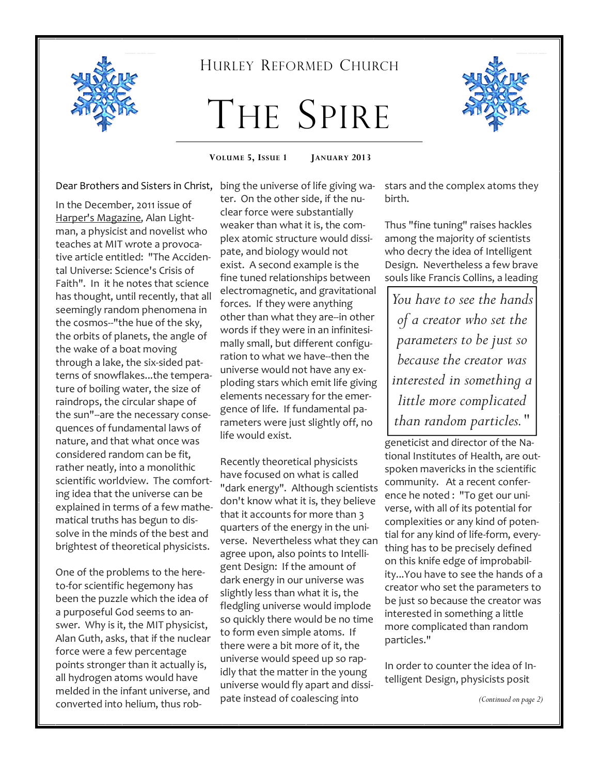

### HURLEY REFORMED CHURCH

# THE SPIRE



**VOLUME 5, ISSUE 1 JANUARY 2013** 

Dear Brothers and Sisters in Christ,

In the December, 2011 issue of Harper's Magazine, Alan Lightman, a physicist and novelist who teaches at MIT wrote a provocative article entitled: "The Accidental Universe: Science's Crisis of Faith". In it he notes that science has thought, until recently, that all seemingly random phenomena in the cosmos--"the hue of the sky, the orbits of planets, the angle of the wake of a boat moving through a lake, the six-sided patterns of snowflakes...the temperature of boiling water, the size of raindrops, the circular shape of the sun"--are the necessary consequences of fundamental laws of nature, and that what once was considered random can be fit, rather neatly, into a monolithic scientific worldview. The comforting idea that the universe can be explained in terms of a few mathematical truths has begun to dissolve in the minds of the best and brightest of theoretical physicists.

One of the problems to the hereto-for scientific hegemony has been the puzzle which the idea of a purposeful God seems to answer. Why is it, the MIT physicist, Alan Guth, asks, that if the nuclear force were a few percentage points stronger than it actually is, all hydrogen atoms would have melded in the infant universe, and converted into helium, thus robbing the universe of life giving water. On the other side, if the nuclear force were substantially weaker than what it is, the complex atomic structure would dissipate, and biology would not exist. A second example is the fine tuned relationships between electromagnetic, and gravitational forces. If they were anything other than what they are--in other words if they were in an infinitesimally small, but different configuration to what we have--then the universe would not have any exploding stars which emit life giving elements necessary for the emergence of life. If fundamental parameters were just slightly off, no life would exist.

Recently theoretical physicists have focused on what is called "dark energy". Although scientists don't know what it is, they believe that it accounts for more than 3 quarters of the energy in the universe. Nevertheless what they can agree upon, also points to Intelligent Design: If the amount of dark energy in our universe was slightly less than what it is, the fledgling universe would implode so quickly there would be no time to form even simple atoms. If there were a bit more of it, the universe would speed up so rapidly that the matter in the young universe would fly apart and dissipate instead of coalescing into

stars and the complex atoms they birth.

Thus "fine tuning" raises hackles among the majority of scientists who decry the idea of Intelligent Design. Nevertheless a few brave souls like Francis Collins, a leading

*You have to see the hands of a creator who set the parameters to be just so because the creator was interested in something a little more complicated than random particles."*

geneticist and director of the National Institutes of Health, are outspoken mavericks in the scientific community. At a recent conference he noted : "To get our universe, with all of its potential for complexities or any kind of potential for any kind of life-form, everything has to be precisely defined on this knife edge of improbability...You have to see the hands of a creator who set the parameters to be just so because the creator was interested in something a little more complicated than random particles."

In order to counter the idea of Intelligent Design, physicists posit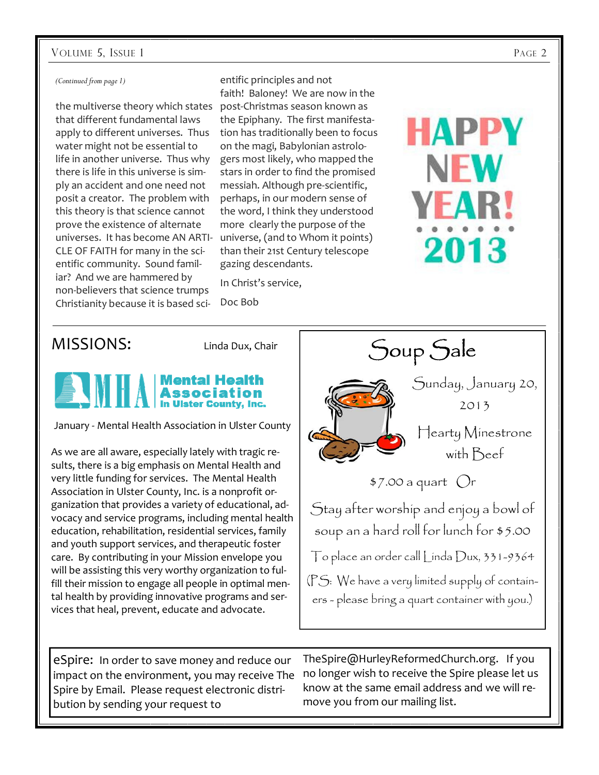#### VOLUME 5, ISSUE 1 PAGE 2

#### *(Continued from page 1)*

that different fundamental laws apply to different universes. Thus water might not be essential to life in another universe. Thus why there is life in this universe is simply an accident and one need not posit a creator. The problem with this theory is that science cannot prove the existence of alternate universes. It has become AN ARTI-CLE OF FAITH for many in the scientific community. Sound familiar? And we are hammered by non-believers that science trumps Christianity because it is based sci-

the multiverse theory which states post-Christmas season known as entific principles and not faith! Baloney! We are now in the the Epiphany. The first manifestation has traditionally been to focus on the magi, Babylonian astrologers most likely, who mapped the stars in order to find the promised messiah. Although pre-scientific, perhaps, in our modern sense of the word, I think they understood more clearly the purpose of the universe, (and to Whom it points) than their 21st Century telescope gazing descendants.

> In Christ's service, Doc Bob

## MISSIONS: Linda Dux, Chair

# Mental H

January - Mental Health Association in Ulster County

As we are all aware, especially lately with tragic results, there is a big emphasis on Mental Health and very little funding for services. The Mental Health Association in Ulster County, Inc. is a nonprofit organization that provides a variety of educational, advocacy and service programs, including mental health education, rehabilitation, residential services, family and youth support services, and therapeutic foster care. By contributing in your Mission envelope you will be assisting this very worthy organization to fulfill their mission to engage all people in optimal mental health by providing innovative programs and services that heal, prevent, educate and advocate.



Soup Sale

HAPPY

NH

2013

eSpire: In order to save money and reduce our impact on the environment, you may receive The Spire by Email. Please request electronic distribution by sending your request to

TheSpire@HurleyReformedChurch.org. If you no longer wish to receive the Spire please let us know at the same email address and we will remove you from our mailing list.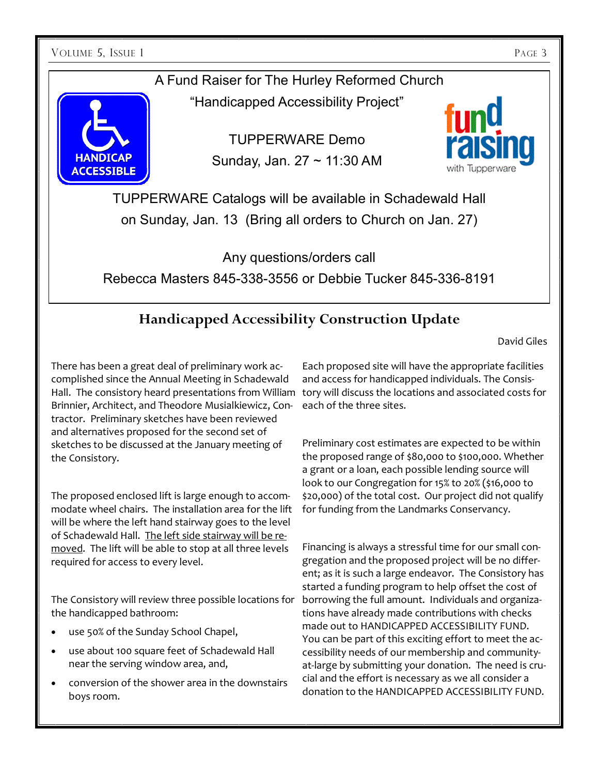VOLUME 5, ISSUE 1 PAGE 3

**ACCESSIBLE** 

## A Fund Raiser for The Hurley Reformed Church

"Handicapped Accessibility Project"

TUPPERWARE Demo Sunday, Jan. 27 ~ 11:30 AM



TUPPERWARE Catalogs will be available in Schadewald Hall on Sunday, Jan. 13 (Bring all orders to Church on Jan. 27)

Any questions/orders call Rebecca Masters 845-338-3556 or Debbie Tucker 845-336-8191

# **Handicapped Accessibility Construction Update**

David Giles

There has been a great deal of preliminary work accomplished since the Annual Meeting in Schadewald Hall. The consistory heard presentations from William Brinnier, Architect, and Theodore Musialkiewicz, Contractor. Preliminary sketches have been reviewed and alternatives proposed for the second set of sketches to be discussed at the January meeting of the Consistory.

The proposed enclosed lift is large enough to accommodate wheel chairs. The installation area for the lift will be where the left hand stairway goes to the level of Schadewald Hall. The left side stairway will be removed. The lift will be able to stop at all three levels required for access to every level.

The Consistory will review three possible locations for the handicapped bathroom:

- use 50% of the Sunday School Chapel,
- use about 100 square feet of Schadewald Hall near the serving window area, and,
- conversion of the shower area in the downstairs boys room.

Each proposed site will have the appropriate facilities and access for handicapped individuals. The Consistory will discuss the locations and associated costs for each of the three sites.

Preliminary cost estimates are expected to be within the proposed range of \$80,000 to \$100,000. Whether a grant or a loan, each possible lending source will look to our Congregation for 15% to 20% (\$16,000 to \$20,000) of the total cost. Our project did not qualify for funding from the Landmarks Conservancy.

Financing is always a stressful time for our small congregation and the proposed project will be no different; as it is such a large endeavor. The Consistory has started a funding program to help offset the cost of borrowing the full amount. Individuals and organizations have already made contributions with checks made out to HANDICAPPED ACCESSIBILITY FUND. You can be part of this exciting effort to meet the accessibility needs of our membership and communityat-large by submitting your donation. The need is crucial and the effort is necessary as we all consider a donation to the HANDICAPPED ACCESSIBILITY FUND.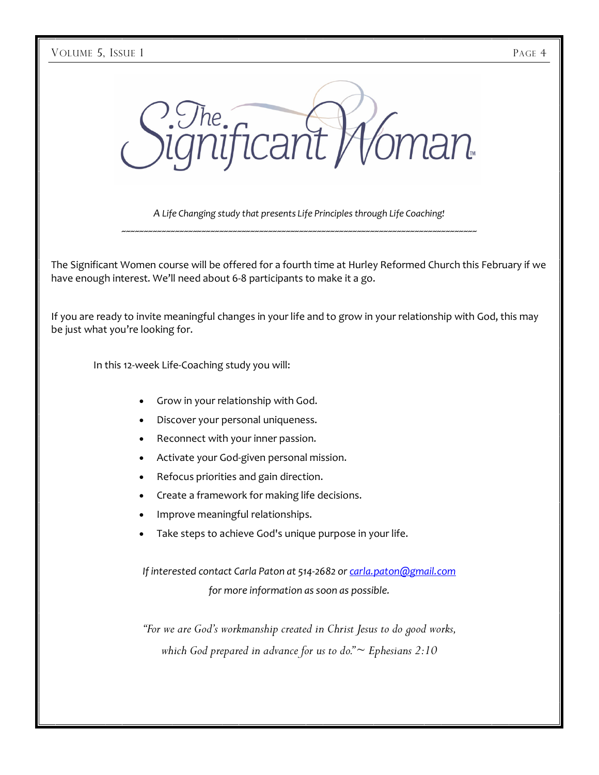it Moman **Par** 

*A Life Changing study that presents Life Principles through Life Coaching!* ~~~~~~~~~~~~~~~~~~~~~~~~~~~~~~~~~~~~~~~~~~~~~~~~~~~~~~~~~~~~~~~~~~~~~~~~~~~~~~~~

The Significant Women course will be offered for a fourth time at Hurley Reformed Church this February if we have enough interest. We'll need about 6-8 participants to make it a go.

If you are ready to invite meaningful changes in your life and to grow in your relationship with God, this may be just what you're looking for.

In this 12-week Life-Coaching study you will:

- Grow in your relationship with God.
- Discover your personal uniqueness.
- Reconnect with your inner passion.
- Activate your God-given personal mission.
- Refocus priorities and gain direction.
- Create a framework for making life decisions.
- Improve meaningful relationships.
- Take steps to achieve God's unique purpose in your life.

*If interested contact Carla Paton at 514-2682 or carla.paton@gmail.com for more information as soon as possible.* 

*"For we are God's workmanship created in Christ Jesus to do good works, which God prepared in advance for us to do." ~ Ephesians 2:10*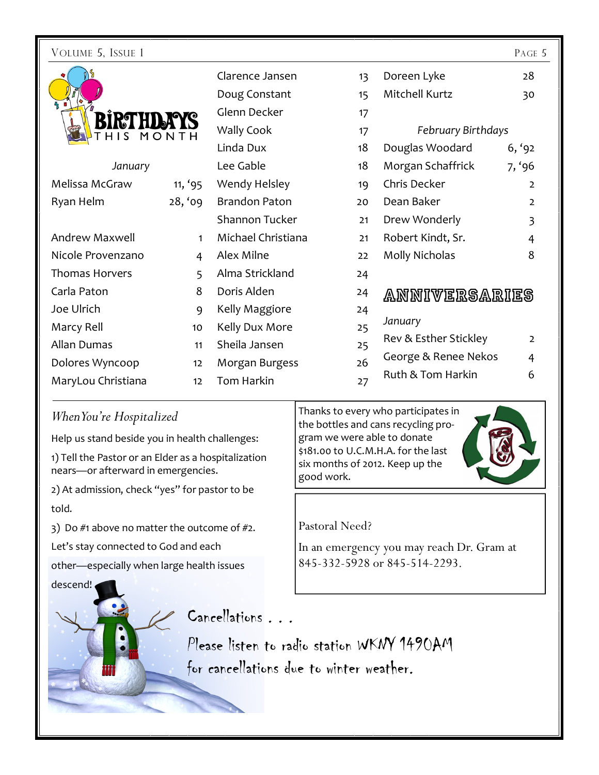| VOLUME 5, ISSUE 1     |              |                      |    |                           | PAGE 5         |
|-----------------------|--------------|----------------------|----|---------------------------|----------------|
|                       |              | Clarence Jansen      | 13 | Doreen Lyke               | 28             |
|                       |              | Doug Constant        | 15 | Mitchell Kurtz            | 30             |
| <b>IRTH</b>           |              | Glenn Decker         | 17 |                           |                |
| HIS                   | MONTH        | Wally Cook           | 17 | <b>February Birthdays</b> |                |
|                       |              | Linda Dux            | 18 | Douglas Woodard           | 6, '92         |
| January               |              | Lee Gable            | 18 | Morgan Schaffrick         | 7, '96         |
| Melissa McGraw        | 11, '95      | Wendy Helsley        | 19 | Chris Decker              | $\overline{2}$ |
| Ryan Helm             | 28, '09      | <b>Brandon Paton</b> | 20 | Dean Baker                | $\overline{2}$ |
|                       |              | Shannon Tucker       | 21 | Drew Wonderly             | $\overline{3}$ |
| <b>Andrew Maxwell</b> | $\mathbf{1}$ | Michael Christiana   | 21 | Robert Kindt, Sr.         | $\overline{4}$ |
| Nicole Provenzano     | 4            | Alex Milne           | 22 | <b>Molly Nicholas</b>     | 8              |
| <b>Thomas Horvers</b> | 5            | Alma Strickland      | 24 |                           |                |
| Carla Paton           | 8            | Doris Alden          | 24 | ANNIVERSARIES             |                |
| Joe Ulrich            | 9            | Kelly Maggiore       | 24 |                           |                |
| Marcy Rell            | 10           | Kelly Dux More       | 25 | January                   |                |
| <b>Allan Dumas</b>    | 11           | Sheila Jansen        | 25 | Rev & Esther Stickley     | $\overline{2}$ |
| Dolores Wyncoop       | 12           | Morgan Burgess       | 26 | George & Renee Nekos      | 4              |
| MaryLou Christiana    | 12           | <b>Tom Harkin</b>    | 27 | Ruth & Tom Harkin         | 6              |
|                       |              |                      |    |                           |                |

### *When You're Hospitalized*

Help us stand beside you in health challenges:

1) Tell the Pastor or an Elder as a hospitalization nears—or afterward in emergencies.

2) At admission, check "yes" for pastor to be told.

3) Do  $#1$  above no matter the outcome of  $#2$ .

Let's stay connected to God and each

other—especially when large health issues

descend!

Thanks to every who participates in the bottles and cans recycling program we were able to donate \$181.00 to U.C.M.H.A. for the last six months of 2012. Keep up the good work.

### Pastoral Need?

In an emergency you may reach Dr. Gram at 845-332-5928 or 845-514-2293.

Cancellations ...

Please listen to radio station WKNY 1490AM for cancellations due to winter weather.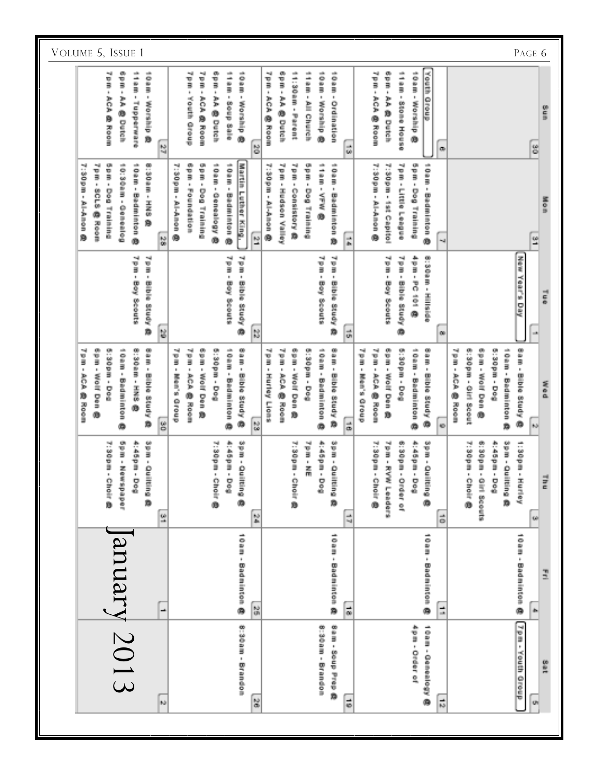| VOLUME 5, ISSUE 1<br>PAGE 6                                                                                                                                                         |                                                                                                                                                                                                                                                                                                                                                                                                                                                                                                                            |                                                                                                                                                                                                                                                                                                                                                                               |  |  |  |  |  |
|-------------------------------------------------------------------------------------------------------------------------------------------------------------------------------------|----------------------------------------------------------------------------------------------------------------------------------------------------------------------------------------------------------------------------------------------------------------------------------------------------------------------------------------------------------------------------------------------------------------------------------------------------------------------------------------------------------------------------|-------------------------------------------------------------------------------------------------------------------------------------------------------------------------------------------------------------------------------------------------------------------------------------------------------------------------------------------------------------------------------|--|--|--|--|--|
| ٠<br>nik.<br>nis,<br>78<br>Î<br>v<br>B<br>ĵ<br>î<br>ò.<br>Ŷ.<br>$\mathbb{R}^+$<br>$\bar{\mathbf{u}}$<br>ACA<br>主力的<br>Lupperments<br>Worship<br>ø<br><b>Dutch</b><br>Room<br>ø<br>綺 | 气道<br>靊<br>nik,<br>懶<br>靊<br>÷,<br>÷.<br>74<br>iosa<br>ion products and<br>÷,<br>ii<br>F<br>1.00mm - Warena<br>İ<br>y<br>3<br>š<br>Î<br>i<br>y.<br>B<br>o<br>B<br>$\hat{\mathbf{r}}$<br>$\hat{\mathbf{r}}$<br>$\hat{\mathbf{r}}$<br>į,<br>$\hat{\mathbf{r}}$<br>$\hat{\mathbf{r}}$<br>$\hat{\mathbf{r}}$<br>$\boldsymbol{\theta}$<br>404<br>à.<br>ACA<br>i,<br>Wouth<br>Soup Sale<br>Working B<br>Octainment<br><b>美orainの</b><br>All Church<br>Ġ<br>ø<br>像 Ecom<br>۱<br>Dutch<br><b>Dutch</b><br>dreip<br>Room<br>뵹<br>ä. | <b>Youth Oroup</b><br>٠ë<br>œ.<br>÷,<br>10am - Worship<br>Tailliche House<br>ţ<br>ÿ<br>$\hat{\mathbf{r}}$<br>$\theta$<br>AA 修 Delsin<br>ACA @ Room<br>ung<br>Si<br>۰<br>g<br>œ                                                                                                                                                                                                |  |  |  |  |  |
| on a<br>(S) 2010 mm - 工室の<br>-48<br>10:30am - Oemenicg<br>olin,<br>7:30pm - Al-Amon @<br>oam -<br>pm - 8CL2 @ Nota<br><b>Dog Training</b><br>Badminton<br>ß.<br>嚣<br>0              | epine -<br>o<br>Du<br>tosan -<br>Martin<br>$\frac{3}{2}$<br>$\frac{a}{3}$<br>÷<br>- Models -<br>- used -<br>7:30pm - Al-Anon @<br>Your - Hothpury Valley<br>10mm - Emainten @<br>i<br>Bi<br>$\hat{\mathbf{r}}$<br>Ù.<br>$\mathbf{0}$<br><b>Houses</b><br>Consistery @<br>Bujujuji Bog<br>Dog Training<br><b>Luthron</b><br>Geneellogy<br>Badminton<br>ĺ<br>All-Amon<br>ø<br><b>King.</b><br>ø<br>Ġ<br>瑩<br>ti.<br>Ō                                                                                                        | $\frac{1}{2}$<br>- Middle<br>7:30pm - 1st Capitol<br>7pm - Little League<br>10am - Badminton 卷<br>Dog Training<br><b>Mon</b><br><b>Al-Anon</b><br>$\frac{\omega}{2}$<br>чą                                                                                                                                                                                                    |  |  |  |  |  |
| mg.<br>74<br>ţ<br>e di<br>$\hat{\mathbf{r}}$<br><b>Ribus atual</b><br>Bay Scouts<br>Ň.<br>Ľ                                                                                         | 7 pm - Boy Scouts<br>Thm - Bible Study<br>ng.<br>74<br>Î,<br><b>Pith - Bilble Study</b><br>Boy Scouts<br>ø<br>ă<br>$\frac{1}{10}$<br>N                                                                                                                                                                                                                                                                                                                                                                                     | ma)<br><b>Without Hillstop</b><br>医骨板<br>ma)<br>÷<br>pm - PC 101 @<br>e di<br>i ud<br>Year's<br>Boy Scouts<br><b>Ribustudy</b><br>in a<br>ę<br>۰<br>$\mathbf{m}$<br>$\mathbb{C} \mathbb{R}$                                                                                                                                                                                   |  |  |  |  |  |
| Ford - Bible Study<br>œ.<br><b>側130mm - 正正の</b><br>5:30pm - Dost<br>alk.<br>$\frac{1}{2}$<br>ipm・Wolf Den @<br>oam -<br>ACA 趣 Room<br><b>Badminson</b><br>齌<br>S<br>٠               | $\frac{1}{2}$<br>œ.<br>00 H H H<br>œ.<br>Bam - Bible Study 修<br>28<br>(5) SOP H - DOM<br>alla,<br>24<br>$\frac{1}{2}$ in the set of $\frac{1}{2}$<br>(5) SOD - DOG<br>ais.<br>y.<br>B<br>ÿ<br>ţ<br>∵pm - Woll Den 趣<br><b>Oum - Badminton @</b><br>oam -<br>$\mu$<br>$\mu$<br>$\mu$<br>$\mathbf{a}$<br>ist of<br>Wolf Den<br><b>Elbus study</b><br><b>SCAB</b><br>Hurley Lions<br><b>Mexicon</b><br>Badminton @<br>Room<br><b>Moom</b><br>Ď<br>ø<br>铋<br>$\vec{a}$                                                         | чģ<br>œ<br>epm - Woll Den @<br>Form - Bilble Study<br>×.<br><b>Bison - Dog</b><br>als.<br>Sam - Bible Study<br>۰.<br>(5) SO D H - D G H<br>als.<br><b>Wider - Gill Week</b><br>ţ<br><b>Oam - Badminton @</b><br>e<br>B<br>p m ・ Woll Den 趣<br>マミ・メウメ の Room<br>on an<br>$\mu$<br>ACA @ Room<br>Maria Group<br>Badminton 森<br>医原虫<br>۰<br>۰<br>$\mathbf{h}(\mathbf{r})$<br>KD. |  |  |  |  |  |
| œ<br>œ,<br>4:45pm - Dog<br>Y:30pm - Chom B<br>ta di<br>ta dia 1<br><b>Mexiconde</b><br>Octaine &<br>$\frac{Q}{\Delta}$                                                              | 碑<br>7:30pm - Cholir @<br>+100m-<br>Sea - Octo<br><b>Arabian - Dog</b><br>7.20pm -<br>7pm - NE<br><b>busing</b><br>空空動<br>Sodi<br>言意為<br>۵<br>鯥<br>$\frac{1}{2}$                                                                                                                                                                                                                                                                                                                                                           | 68<br>P.30pm - Choiri 参<br>7 p.m. - RVW Leaders<br>6:30pm - Order of<br><b>Wool - Dog</b><br>68<br>6:30pm - Girl Scouts<br><b>Wool - Bost</b><br><b>Volunie Hurley</b><br>7:30pm - Choir @<br>でm - Coristine 像<br>前書 !<br>Outline 像<br>i<br>I<br>$\vec{\circ}$<br>98                                                                                                          |  |  |  |  |  |
| January 2013<br>۳                                                                                                                                                                   | 10 am - Badminton 身<br>10 um - Badminton 参<br>té<br>Ol<br>$\frac{1}{100}$                                                                                                                                                                                                                                                                                                                                                                                                                                                  | dem - Badminton 泰<br>10am - Badminton 像<br>I<br>Ė<br>ò.                                                                                                                                                                                                                                                                                                                       |  |  |  |  |  |
| Ьb                                                                                                                                                                                  | め:30mm - Drandom<br>œ<br>8:30am - Brandon<br>am - Soup Aren<br>Ď<br>ć<br>髓                                                                                                                                                                                                                                                                                                                                                                                                                                                 | $\frac{1}{2}$<br>4pm - Order of<br>mesical content of<br>Youth Oreup<br>sin E<br>$\frac{1}{10}$<br>œ,                                                                                                                                                                                                                                                                         |  |  |  |  |  |